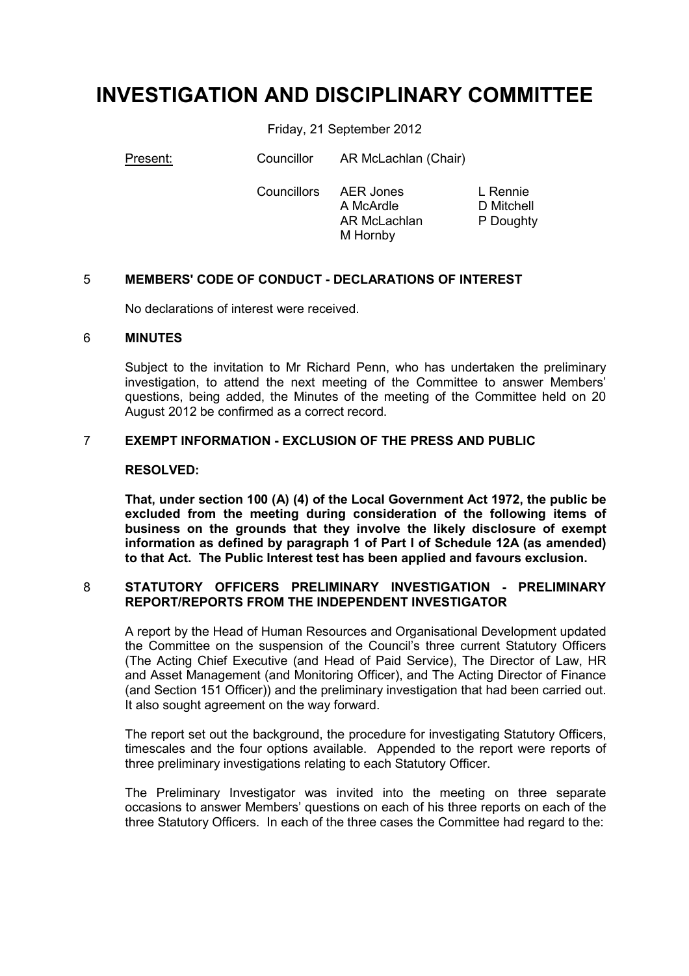# **INVESTIGATION AND DISCIPLINARY COMMITTEE**

Friday, 21 September 2012

Present: Councillor AR McLachlan (Chair)

 Councillors AER Jones A McArdle AR McLachlan M Hornby

L Rennie D Mitchell P Doughty

# 5 **MEMBERS' CODE OF CONDUCT - DECLARATIONS OF INTEREST**

No declarations of interest were received.

## 6 **MINUTES**

Subject to the invitation to Mr Richard Penn, who has undertaken the preliminary investigation, to attend the next meeting of the Committee to answer Members' questions, being added, the Minutes of the meeting of the Committee held on 20 August 2012 be confirmed as a correct record.

## 7 **EXEMPT INFORMATION - EXCLUSION OF THE PRESS AND PUBLIC**

#### **RESOLVED:**

**That, under section 100 (A) (4) of the Local Government Act 1972, the public be excluded from the meeting during consideration of the following items of business on the grounds that they involve the likely disclosure of exempt information as defined by paragraph 1 of Part I of Schedule 12A (as amended) to that Act. The Public Interest test has been applied and favours exclusion.** 

#### 8 **STATUTORY OFFICERS PRELIMINARY INVESTIGATION - PRELIMINARY REPORT/REPORTS FROM THE INDEPENDENT INVESTIGATOR**

A report by the Head of Human Resources and Organisational Development updated the Committee on the suspension of the Council's three current Statutory Officers (The Acting Chief Executive (and Head of Paid Service), The Director of Law, HR and Asset Management (and Monitoring Officer), and The Acting Director of Finance (and Section 151 Officer)) and the preliminary investigation that had been carried out. It also sought agreement on the way forward.

The report set out the background, the procedure for investigating Statutory Officers, timescales and the four options available. Appended to the report were reports of three preliminary investigations relating to each Statutory Officer.

The Preliminary Investigator was invited into the meeting on three separate occasions to answer Members' questions on each of his three reports on each of the three Statutory Officers. In each of the three cases the Committee had regard to the: